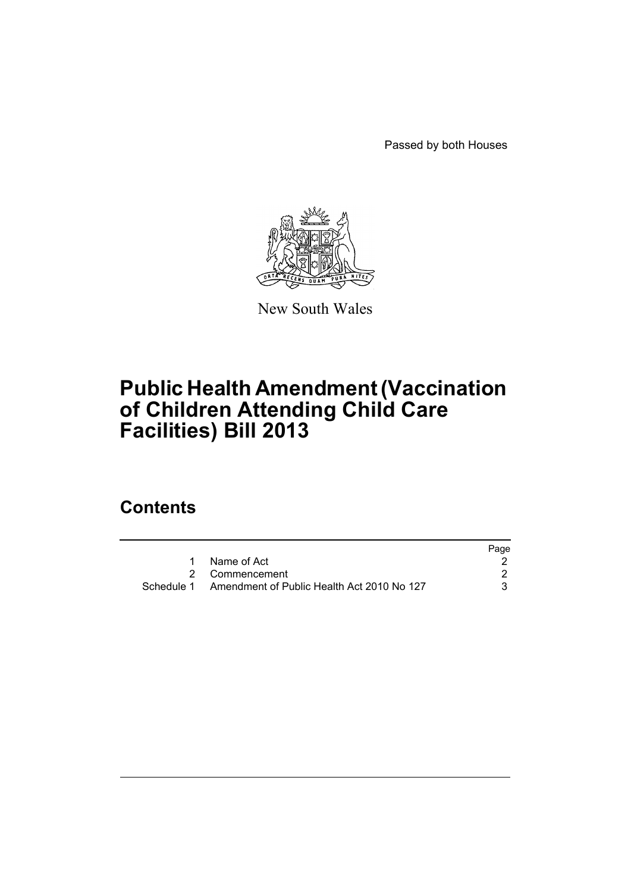Passed by both Houses



New South Wales

# **Public Health Amendment (Vaccination of Children Attending Child Care Facilities) Bill 2013**

## **Contents**

|                                                       | Page |
|-------------------------------------------------------|------|
| 1 Name of Act                                         |      |
| 2 Commencement                                        |      |
| Schedule 1 Amendment of Public Health Act 2010 No 127 |      |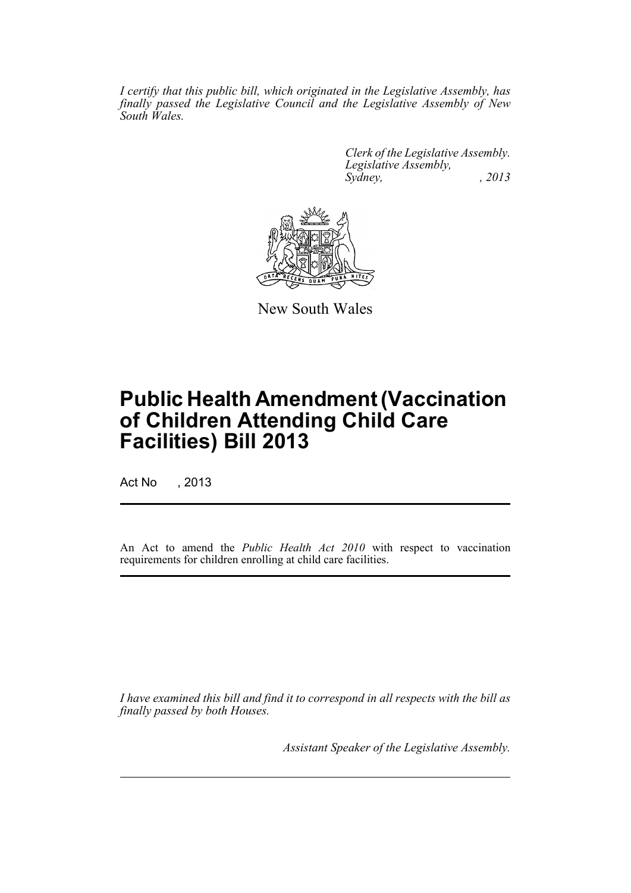*I certify that this public bill, which originated in the Legislative Assembly, has finally passed the Legislative Council and the Legislative Assembly of New South Wales.*

> *Clerk of the Legislative Assembly. Legislative Assembly, Sydney, , 2013*



New South Wales

# **Public Health Amendment (Vaccination of Children Attending Child Care Facilities) Bill 2013**

Act No , 2013

An Act to amend the *Public Health Act 2010* with respect to vaccination requirements for children enrolling at child care facilities.

*I have examined this bill and find it to correspond in all respects with the bill as finally passed by both Houses.*

*Assistant Speaker of the Legislative Assembly.*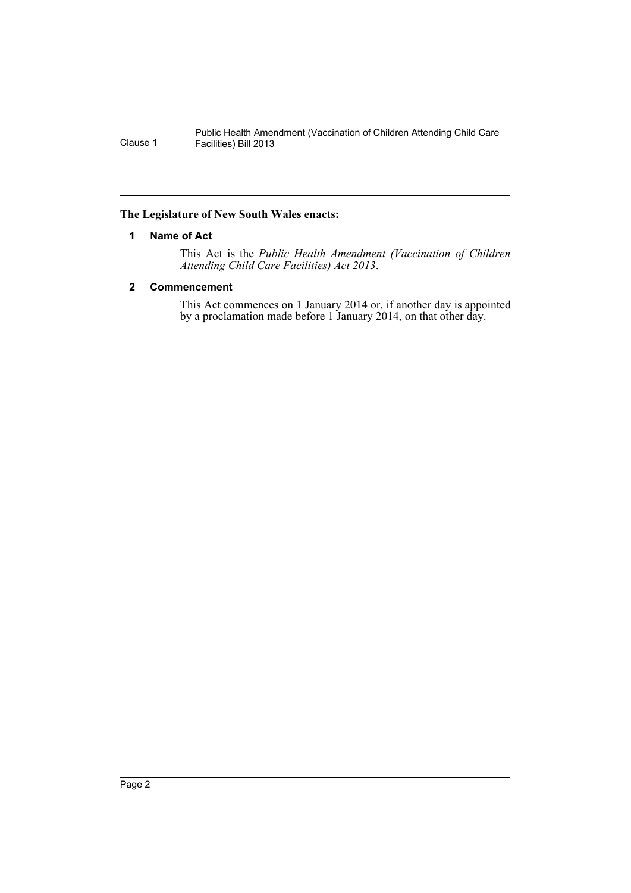### <span id="page-3-0"></span>**The Legislature of New South Wales enacts:**

### **1 Name of Act**

This Act is the *Public Health Amendment (Vaccination of Children Attending Child Care Facilities) Act 2013*.

## <span id="page-3-1"></span>**2 Commencement**

This Act commences on 1 January 2014 or, if another day is appointed by a proclamation made before 1 January 2014, on that other day.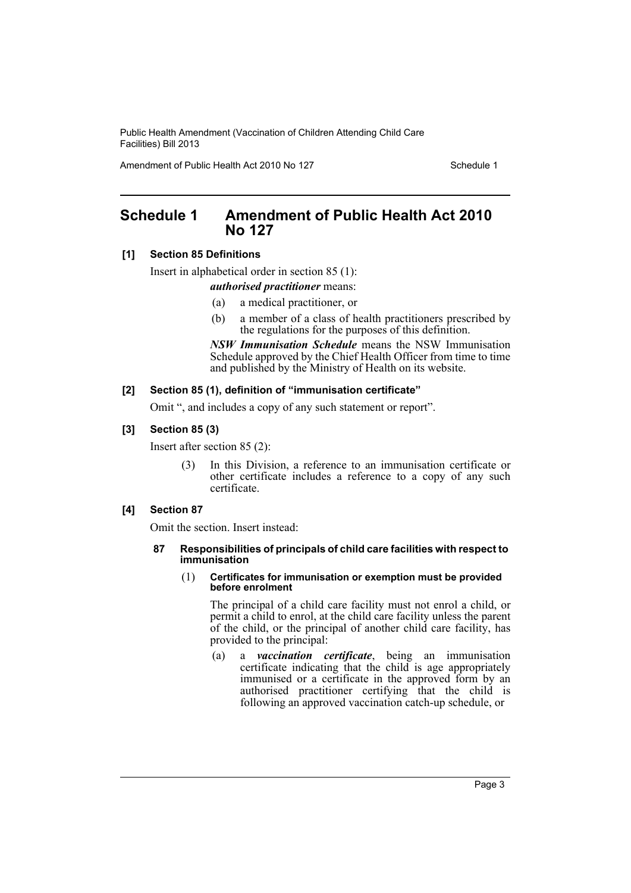Amendment of Public Health Act 2010 No 127 Schedule 1

## <span id="page-4-0"></span>**Schedule 1 Amendment of Public Health Act 2010 No 127**

## **[1] Section 85 Definitions**

Insert in alphabetical order in section 85 (1):

#### *authorised practitioner* means:

- (a) a medical practitioner, or
- (b) a member of a class of health practitioners prescribed by the regulations for the purposes of this definition.

*NSW Immunisation Schedule* means the NSW Immunisation Schedule approved by the Chief Health Officer from time to time and published by the Ministry of Health on its website.

## **[2] Section 85 (1), definition of "immunisation certificate"**

Omit ", and includes a copy of any such statement or report".

## **[3] Section 85 (3)**

Insert after section 85 (2):

(3) In this Division, a reference to an immunisation certificate or other certificate includes a reference to a copy of any such certificate.

## **[4] Section 87**

Omit the section. Insert instead:

#### **87 Responsibilities of principals of child care facilities with respect to immunisation**

(1) **Certificates for immunisation or exemption must be provided before enrolment**

The principal of a child care facility must not enrol a child, or permit a child to enrol, at the child care facility unless the parent of the child, or the principal of another child care facility, has provided to the principal:

(a) a *vaccination certificate*, being an immunisation certificate indicating that the child is age appropriately immunised or a certificate in the approved form by an authorised practitioner certifying that the child is following an approved vaccination catch-up schedule, or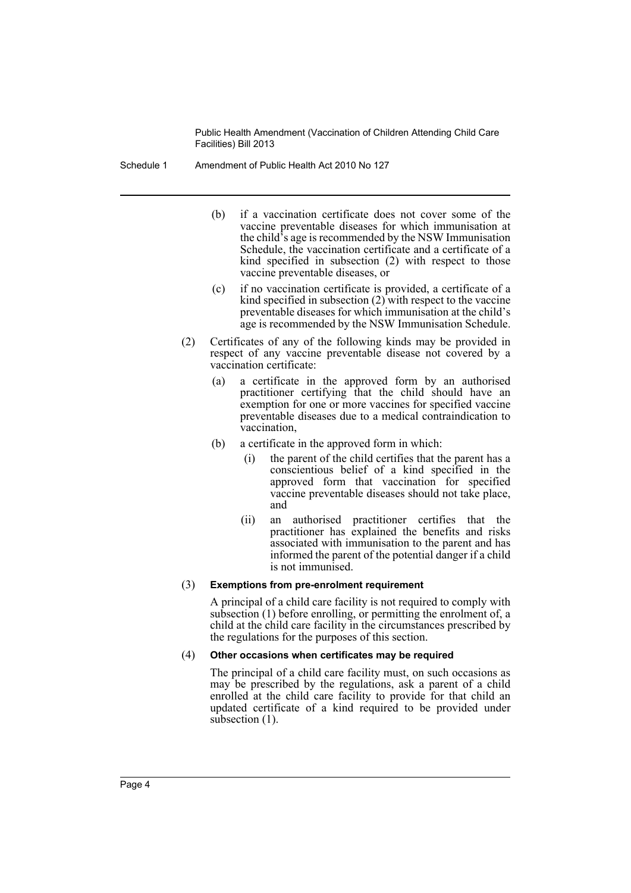Schedule 1 Amendment of Public Health Act 2010 No 127

- (b) if a vaccination certificate does not cover some of the vaccine preventable diseases for which immunisation at the child's age is recommended by the NSW Immunisation Schedule, the vaccination certificate and a certificate of a kind specified in subsection (2) with respect to those vaccine preventable diseases, or
- (c) if no vaccination certificate is provided, a certificate of a kind specified in subsection (2) with respect to the vaccine preventable diseases for which immunisation at the child's age is recommended by the NSW Immunisation Schedule.
- (2) Certificates of any of the following kinds may be provided in respect of any vaccine preventable disease not covered by a vaccination certificate:
	- (a) a certificate in the approved form by an authorised practitioner certifying that the child should have an exemption for one or more vaccines for specified vaccine preventable diseases due to a medical contraindication to vaccination,
	- (b) a certificate in the approved form in which:
		- (i) the parent of the child certifies that the parent has a conscientious belief of a kind specified in the approved form that vaccination for specified vaccine preventable diseases should not take place, and
		- (ii) an authorised practitioner certifies that the practitioner has explained the benefits and risks associated with immunisation to the parent and has informed the parent of the potential danger if a child is not immunised.

#### (3) **Exemptions from pre-enrolment requirement**

A principal of a child care facility is not required to comply with subsection (1) before enrolling, or permitting the enrolment of, a child at the child care facility in the circumstances prescribed by the regulations for the purposes of this section.

#### (4) **Other occasions when certificates may be required**

The principal of a child care facility must, on such occasions as may be prescribed by the regulations, ask a parent of a child enrolled at the child care facility to provide for that child an updated certificate of a kind required to be provided under subsection  $(1)$ .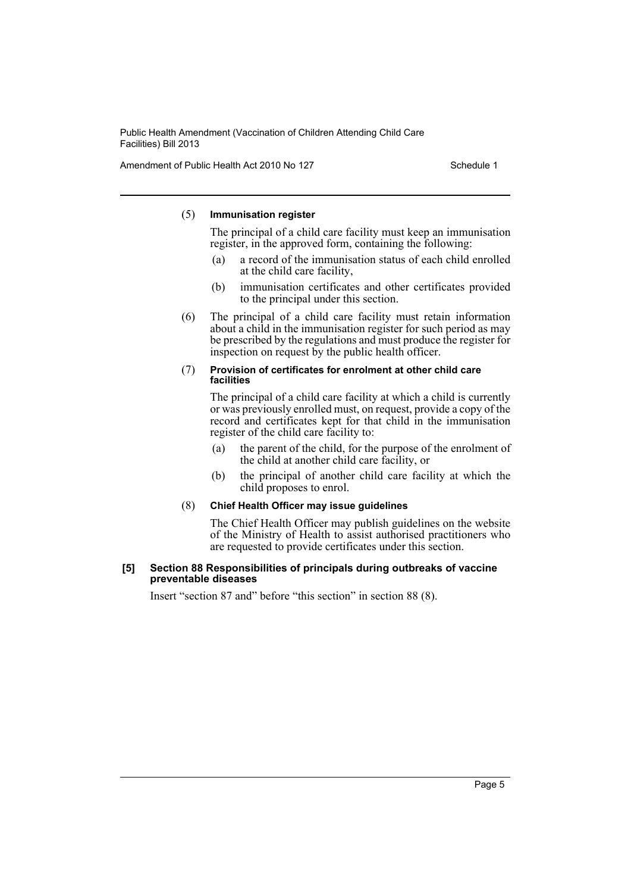Amendment of Public Health Act 2010 No 127 Schedule 1

#### (5) **Immunisation register**

The principal of a child care facility must keep an immunisation register, in the approved form, containing the following:

- (a) a record of the immunisation status of each child enrolled at the child care facility,
- (b) immunisation certificates and other certificates provided to the principal under this section.
- (6) The principal of a child care facility must retain information about a child in the immunisation register for such period as may be prescribed by the regulations and must produce the register for inspection on request by the public health officer.

#### (7) **Provision of certificates for enrolment at other child care facilities**

The principal of a child care facility at which a child is currently or was previously enrolled must, on request, provide a copy of the record and certificates kept for that child in the immunisation register of the child care facility to:

- (a) the parent of the child, for the purpose of the enrolment of the child at another child care facility, or
- (b) the principal of another child care facility at which the child proposes to enrol.

## (8) **Chief Health Officer may issue guidelines**

The Chief Health Officer may publish guidelines on the website of the Ministry of Health to assist authorised practitioners who are requested to provide certificates under this section.

#### **[5] Section 88 Responsibilities of principals during outbreaks of vaccine preventable diseases**

Insert "section 87 and" before "this section" in section 88 (8).